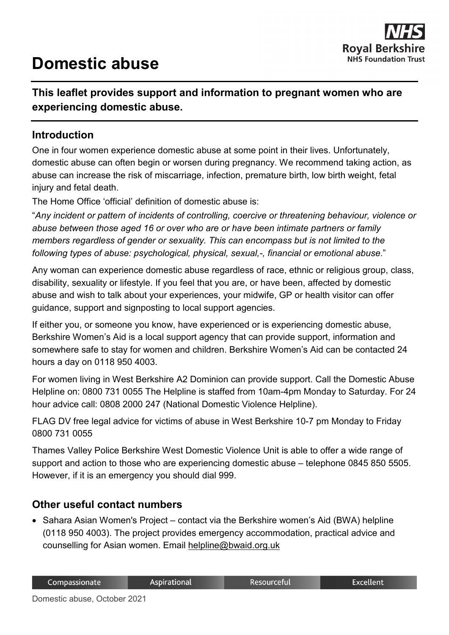# **Domestic abuse**



## **This leaflet provides support and information to pregnant women who are experiencing domestic abuse.**

#### **Introduction**

One in four women experience domestic abuse at some point in their lives. Unfortunately, domestic abuse can often begin or worsen during pregnancy. We recommend taking action, as abuse can increase the risk of miscarriage, infection, premature birth, low birth weight, fetal injury and fetal death.

The Home Office 'official' definition of domestic abuse is:

"*Any incident or pattern of incidents of controlling, coercive or threatening behaviour, violence or abuse between those aged 16 or over who are or have been intimate partners or family members regardless of gender or sexuality. This can encompass but is not limited to the following types of abuse: psychological, physical, sexual,-, financial or emotional abuse*."

Any woman can experience domestic abuse regardless of race, ethnic or religious group, class, disability, sexuality or lifestyle. If you feel that you are, or have been, affected by domestic abuse and wish to talk about your experiences, your midwife, GP or health visitor can offer guidance, support and signposting to local support agencies.

If either you, or someone you know, have experienced or is experiencing domestic abuse, Berkshire Women's Aid is a local support agency that can provide support, information and somewhere safe to stay for women and children. Berkshire Women's Aid can be contacted 24 hours a day on 0118 950 4003.

For women living in West Berkshire A2 Dominion can provide support. Call the Domestic Abuse Helpline on: 0800 731 0055 The Helpline is staffed from 10am-4pm Monday to Saturday. For 24 hour advice call: 0808 2000 247 (National Domestic Violence Helpline).

FLAG DV free legal advice for victims of abuse in West Berkshire 10-7 pm Monday to Friday 0800 731 0055

Thames Valley Police Berkshire West Domestic Violence Unit is able to offer a wide range of support and action to those who are experiencing domestic abuse – telephone 0845 850 5505. However, if it is an emergency you should dial 999.

#### **Other useful contact numbers**

• Sahara Asian Women's Project – contact via the Berkshire women's Aid (BWA) helpline (0118 950 4003). The project provides emergency accommodation, practical advice and counselling for Asian women. Email [helpline@bwaid.org.uk](mailto:helpline@bwaid.org.uk)